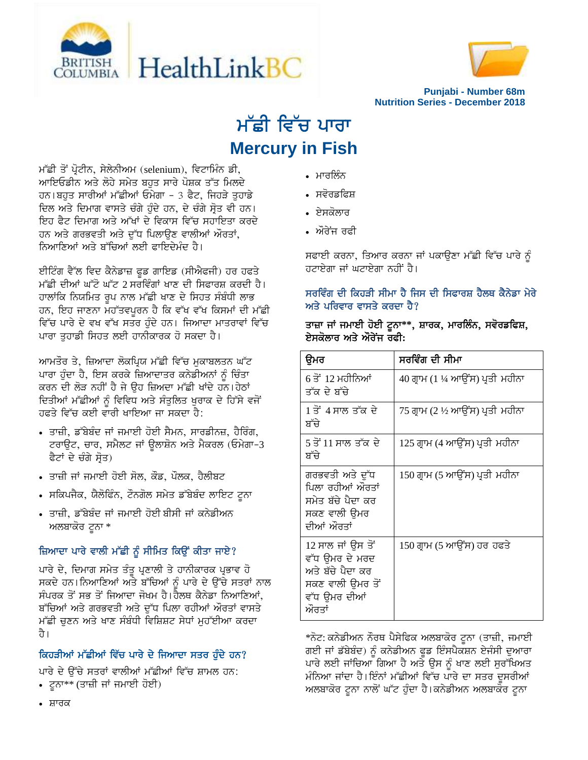



**Punjabi - Number 68m Nutrition Series - December 2018**

# ਮੱਛੀ ਵਿੱਚ ਪਾਰਾ **Mercury in Fish**

ਮੱਛੀ ਤੋਂ ਪ੍ਰੋਟੀਨ, ਸੇਲੇਨੀਅਮ (selenium), ਵਿਟਾਮਿੰਨ ਡੀ, <u>ਆਇਓਡੀਨ ਅਤੇ ਲੋਹੇ ਸਮੇਤ ਬਹਤ ਸਾਰੇ ਪੋਸ਼ਕ ਤੱਤ ਮਿਲਦੇ</u> ਹਨ।ਬਹੁਤ ਸਾਰੀਆਂ ਮੱਛੀਆਂ ਓਮੇਗਾ - 3 ਫੈਟ, ਜਿਹੜੇ ਤੁਹਾਡੇ ਦਿਲ ਅਤੇ ਦਿਮਾਗ ਵਾਸਤੇ ਚੰਗੇ ਹੁੰਦੇ ਹਨ, ਦੇ ਚੰਗੇ ਸੋਤ ਵੀ ਹਨ। ਇਹ ਫੈਟ ਦਿਮਾਗ ਅਤੇ ਅੱਖਾਂ ਦੇ ਵਿਕਾਸ ਵਿੱਚ ਸਹਾਇਤਾ ਕਰਦੇ ਹਨ ਅਤੇ ਗਰਭਵਤੀ ਅਤੇ ਦੱਧ ਪਿਲਾੳਣ ਵਾਲੀਆਂ ਔਰਤਾਂ. ਨਿਆਣਿਆਂ ਅਤੇ ਬੱਚਿਆਂ ਲਈ ਫ਼ਾਇਦੇਮੰਦ ਹੈ।

ਈਟਿੰਗ ਵੈੱਲ ਵਿਦ ਕੈਨੇਡਾਜ਼ ਫੂਡ ਗਾਇਡ (ਸੀਐਫਜੀ) ਹਰ ਹਫਤੇ <u>ਮੱਛੀ ਦੀਆਂ ਘੱਟੋ ਘੱਟ 2 ਸਰਵਿੰਗਾਂ ਖਾਣ ਦੀ ਸਿਫਾਰਸ਼ ਕਰਦੀ ਹੈ।</u> ਹਾਲਾਂਕਿ ਨਿਯਮਿਤ ਰਪ ਨਾਲ ਮੱਛੀ ਖਾਣ ਦੇ ਸਿਹਤ ਸੰਬੰਧੀ ਲਾਭ ਹਨ, ਇਹ ਜਾਣਨਾ ਮਹੱਤਵਪੂਰਨ ਹੈ ਕਿ ਵੱਖ ਵੱਖ ਕਿਸਮਾਂ ਦੀ ਮੱਛੀ ਵਿੱਚ ਪਾਰੇ ਦੇ ਵਖ ਵੱਖ ਸਤਰ ਹੰਦੇ ਹਨ। ਜਿਆਦਾ ਮਾਤਰਾਵਾਂ ਵਿੱਚ ਪਾਰਾ ਤੁਹਾਡੀ ਸਿਹਤ ਲਈ ਹਾਨੀਕਾਰਕ ਹੋ ਸਕਦਾ ਹੈ।

ਆਮਤੌਰ ਤੇ, ਜ਼ਿਆਦਾ ਲੋਕਪਿਯ ਮੱਛੀ ਵਿੱਚ ਮਕਾਬਲਤਨ ਘੱਟ ਪਾਰਾ ਹੰਦਾ ਹੈ, ਇਸ ਕਰਕੇ ਜ਼ਿਆਦਾਤਰ ਕਨੇਡੀਅਨਾਂ ਨੰ ਚਿੰਤਾ ਕਰਨ ਦੀ ਲੋੜ ਨਹੀਂ ਹੈ ਜੇ ਉਹ ਜ਼ਿਅਦਾ ਮੱਛੀ ਖਾਂਦੇ ਹਨ।ਹੇਠਾਂ ਦਿਤੀਆਂ ਮੱਛੀਆਂ ਨੂੰ ਵਿਵਿਧ ਅਤੇ ਸੰਤੁਲਿਤ ਖੁਰਾਕ ਦੇ ਹਿੱਸੇ ਵਜੋਂ ਹਫਤੇ ਵਿੱਚ ਕਈ ਵਾਰੀ ਖਾਇਆ ਜਾ ਸਕਦਾ ਹੈ:

- ਤਾਜ਼ੀ, ਡੱਬੇਬੰਦ ਜਾਂ ਜਮਾਈ ਹੋਈ ਸੈਮਨ, ਸਾਰਡੀਨਜ਼, ਹੈਰਿੰਗ, ਟਰਾਉਟ, ਚਾਰ, ਸਮੈਲਟ ਜਾਂ ਉਲਾਸ਼ੋਨ ਅਤੇ ਮੈਕਰਲ (ਓਮੇਗਾ-3 ਫੈਟਾਂ ਦੇ ਚੰਗੇ ਸੋਤ)
- ਤਾਜ਼ੀ ਜਾਂ ਜਮਾਈ ਹੋਈ ਸੋਲ, ਕੌਡ, ਪੌਲਕ, ਹੈਲੀਬਟ
- ਸਕਿਪਜੈਕ, ਯੈਲੋਫਿੰਨ, ਟੌਨਗੋਲ ਸਮੇਤ ਡੱਬੇਬੰਦ ਲਾਇਟ ਟੂਨਾ
- ਤਾਜ਼ੀ, ਡੱਬੇਬੰਦ ਜਾਂ ਜਮਾਈ ਹੋਈ ਬੀਸੀ ਜਾਂ ਕਨੇਡੀਅਨ ਅਲਬਾਕੋਰ ਟੂਨਾ \*

# ਜ਼ਿਆਦਾ ਪਾਰੇ ਵਾਲੀ ਮੱਛੀ ਨੂੰ ਸੀਮਿਤ ਕਿਉਂ ਕੀਤਾ ਜਾਏ?

ਪਾਰੇ ਦੇ, ਦਿਮਾਗ ਸਮੇਤ ਤੰਤੂ ਪ੍ਰਣਾਲੀ ਤੇ ਹਾਨੀਕਾਰਕ ਪ੍ਰਭਾਵ ਹੋ ਸਕਦੇ ਹਨ। ਨਿਆਣਿਆਂ ਅਤੇ ਬੱਚਿਆਂ ਨੂੰ ਪਾਰੇ ਦੇ ਉੱਚੇ ਸਤਰਾਂ ਨਾਲ ਸੰਪਰਕ ਤੋਂ ਸਭ ਤੋਂ ਜਿਆਦਾ ਜੋਖਮ ਹੈ।ਹੈਲਥ ਕੈਨੇਡਾ ਨਿਆਣਿਆਂ, ਬੱਚਿਆਂ ਅਤੇ ਗਰਭਵਤੀ ਅਤੇ ਦੁੱਧ ਪਿਲਾ ਰਹੀਆਂ ਔਰਤਾਂ ਵਾਸਤੇ <u>ਮੱਛੀ ਚੁਣਨ ਅਤੇ ਖਾਣ ਸੰਬੰਧੀ ਵਿਸ਼ਿਸ਼ਟ ਸੇਧਾਂ ਮੁਹੱਈਆ ਕਰਦਾ</u> तै।

# ਕਿਹੜੀਆਂ ਮੱਛੀਆਂ ਵਿੱਚ ਪਾਰੇ ਦੇ ਜਿਆਦਾ ਸਤਰ ਹੁੰਦੇ ਹਨ?

ਪਾਰੇ ਦੇ ਉੱਚੇ ਸਤਰਾਂ ਵਾਲੀਆਂ ਮੱਛੀਆਂ ਵਿੱਚ ਸ਼ਾਮਲ ਹਨ:

• ਟੁਨਾ\*\* (ਤਾਜ਼ੀ ਜਾਂ ਜਮਾਈ ਹੋਈ)

- ਮਾਰਲਿੰਨ
- ਸਵੋਰਡਫਿਸ਼
- ਏਸਕੋਲਾਰ
- ਔਰੇਜ ਰਫ਼ੀ

ਸਫਾਈ ਕਰਨਾ, ਤਿਆਰ ਕਰਨਾ ਜਾਂ ਪਕਾਉਣਾ ਮੱਛੀ ਵਿੱਚ ਪਾਰੇ ਨੂੰ ਹਟਾਏਗਾ ਜਾਂ ਘਟਾਏਗਾ ਨਹੀਂ ਹੈ।

#### ਸਰਵਿੰਗ ਦੀ ਕਿਹੜੀ ਸੀਮਾ ਹੈ ਜਿਸ ਦੀ ਸਿਫਾਰਸ਼ ਹੈਲਥ ਕੈਨੇਡਾ ਮੇਰੇ ਅਤੇ ਪਰਿਵਾਰ ਵਾਸਤੇ ਕਰਦਾ ਹੈ?

ਤਾਜ਼ਾ ਜਾਂ ਜਮਾਈ ਹੋਈ ਟੁਨਾ<sup>\*</sup>\*, ਸ਼ਾਰਕ, ਮਾਰਲਿੰਨ, ਸਵੋਰਡਫਿਸ਼, <u>ਏਸਕੋਲਾਰ ਅਤੇ ਔਰੇਜ ਰਫ਼ੀ:</u>

| ਉਮਰ                                                                                                   | ਸਰਵਿੰਗ ਦੀ ਸੀਮਾ                  |
|-------------------------------------------------------------------------------------------------------|---------------------------------|
| 6 ਤੋਂ 12 ਮਹੀਨਿਆਂ<br>ਤੱਕ ਦੇ ਬੱਚੇ                                                                       | 40 ਗ੍ਰਾਮ (1 ¼ ਆਉਂਸ) ਪ੍ਰਤੀ ਮਹੀਨਾ |
| 1 ਤੋਂ 4 ਸਾਲ ਤੱਕ ਦੇ<br>ਬੱਚੇ                                                                            | 75 ਗ੍ਰਾਮ (2 ½ ਆਉਂਸ) ਪ੍ਰਤੀ ਮਹੀਨਾ |
| 5 ਤੋਂ 11 ਸਾਲ ਤੱਕ ਦੇ<br>ਬੱਚੇ                                                                           | 125 ਗ੍ਰਾਮ (4 ਆਉਂਸ) ਪ੍ਰਤੀ ਮਹੀਨਾ  |
| ਗਰਭਵਤੀ ਅਤੇ ਦੁੱਧ<br>ਪਿਲਾ ਰਹੀਆਂ ਔਰਤਾਂ<br>ਸਮੇਤ ਬੱਚੇ ਪੈਦਾ ਕਰ<br>ਸਕਣ ਵਾਲੀ ੳਮਰ<br>ਦੀਆਂ ਔਰਤਾਂ                | 150 ਗ੍ਰਾਮ (5 ਆਉਂਸ) ਪ੍ਰਤੀ ਮਹੀਨਾ  |
| 12 ਸਾਲ ਜਾਂ ਉਸ ਤੋਂ<br>ਵੱਧ ੳਮਰ ਦੇ ਮਰਦ<br>ਅਤੇ ਬੱਚੇ ਪੈਦਾ ਕਰ<br>ਸਕਣ ਵਾਲੀ ੳਮਰ ਤੋਂ<br>ਵੱਧ ਉਮਰ ਦੀਆਂ<br>ਅੰਰਤਾਂ | 150 ਗ੍ਰਾਮ (5 ਆਉਂਸ) ਹਰ ਹਫਤੇ      |

\*ਨੋਟ: ਕਨੇਡੀਅਨ ਨੌਰਥ ਪੈਸੇਫਿਕ ਅਲਬਾਕੋਰ ਟੂਨਾ (ਤਾਜ਼ੀ, ਜਮਾਈ ਗਈ ਜਾਂ ਡੱਬੇਬੰਦ) ਨੂੰ ਕਨੇਡੀਅਨ ਫੁਡ ਇੰਸਪੈਕਸ਼ਨ ਏਜੰਸੀ ਦੁਆਰ<mark>ਾ</mark> ਪਾਰੇ ਲਈ ਜਾਂਚਿਆ ਗਿਆ ਹੈ ਅਤੇ ਉਸ ਨੂੰ ਖਾਣ ਲਈ ਸੁਰੱਖਿਅਤ ਮੰਨਿਆ ਜਾਂਦਾ ਹੈ।ਇੰਨਾਂ ਮੱਛੀਆਂ ਵਿੱਚ ਪਾਰੇ ਦਾ ਸਤਰ ਦੂਸਰੀਆਂ ਅਲਬਾਕੋਰ ਟੂਨਾ ਨਾਲੋਂ ਘੱਟ ਹੁੰਦਾ ਹੈ।ਕਨੇਡੀਅਨ ਅਲਬਾਕੋਰ ਟੂਨਾ

• ਸ਼ਾਰਕ